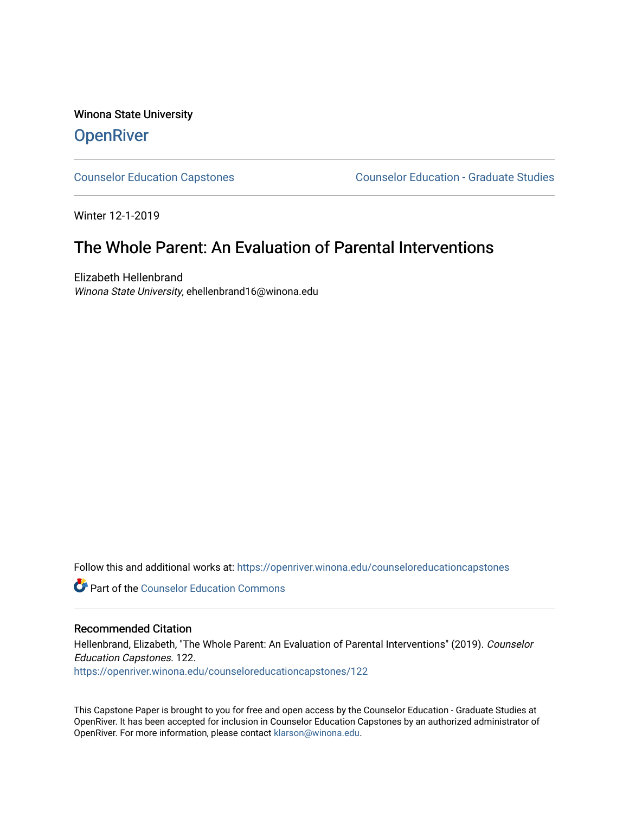Winona State University **OpenRiver** 

[Counselor Education Capstones](https://openriver.winona.edu/counseloreducationcapstones) [Counselor Education - Graduate Studies](https://openriver.winona.edu/counseloreducation) 

Winter 12-1-2019

## The Whole Parent: An Evaluation of Parental Interventions

Elizabeth Hellenbrand Winona State University, ehellenbrand16@winona.edu

Follow this and additional works at: [https://openriver.winona.edu/counseloreducationcapstones](https://openriver.winona.edu/counseloreducationcapstones?utm_source=openriver.winona.edu%2Fcounseloreducationcapstones%2F122&utm_medium=PDF&utm_campaign=PDFCoverPages)

**C** Part of the Counselor Education Commons

### Recommended Citation

Hellenbrand, Elizabeth, "The Whole Parent: An Evaluation of Parental Interventions" (2019). Counselor Education Capstones. 122. [https://openriver.winona.edu/counseloreducationcapstones/122](https://openriver.winona.edu/counseloreducationcapstones/122?utm_source=openriver.winona.edu%2Fcounseloreducationcapstones%2F122&utm_medium=PDF&utm_campaign=PDFCoverPages)

This Capstone Paper is brought to you for free and open access by the Counselor Education - Graduate Studies at OpenRiver. It has been accepted for inclusion in Counselor Education Capstones by an authorized administrator of OpenRiver. For more information, please contact [klarson@winona.edu](mailto:klarson@winona.edu).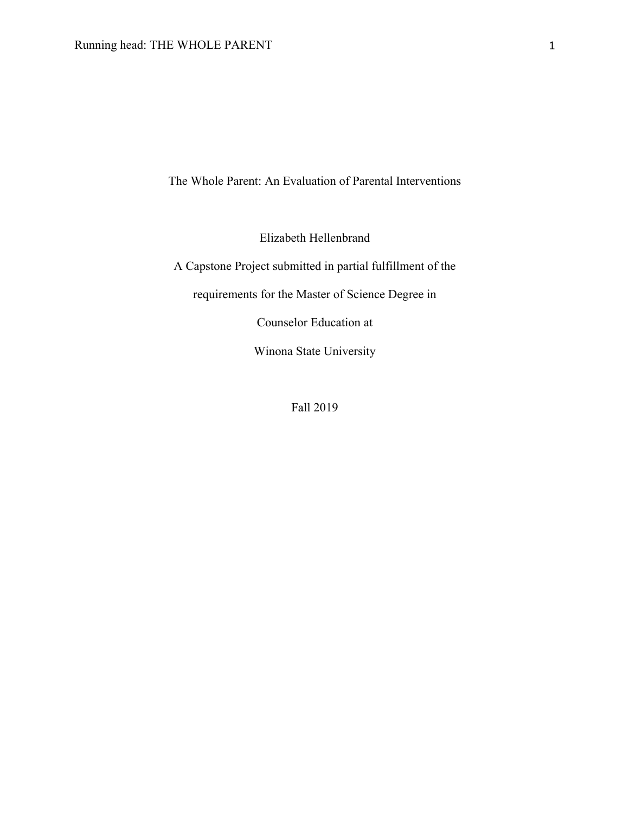The Whole Parent: An Evaluation of Parental Interventions

Elizabeth Hellenbrand

A Capstone Project submitted in partial fulfillment of the

requirements for the Master of Science Degree in

Counselor Education at

Winona State University

Fall 2019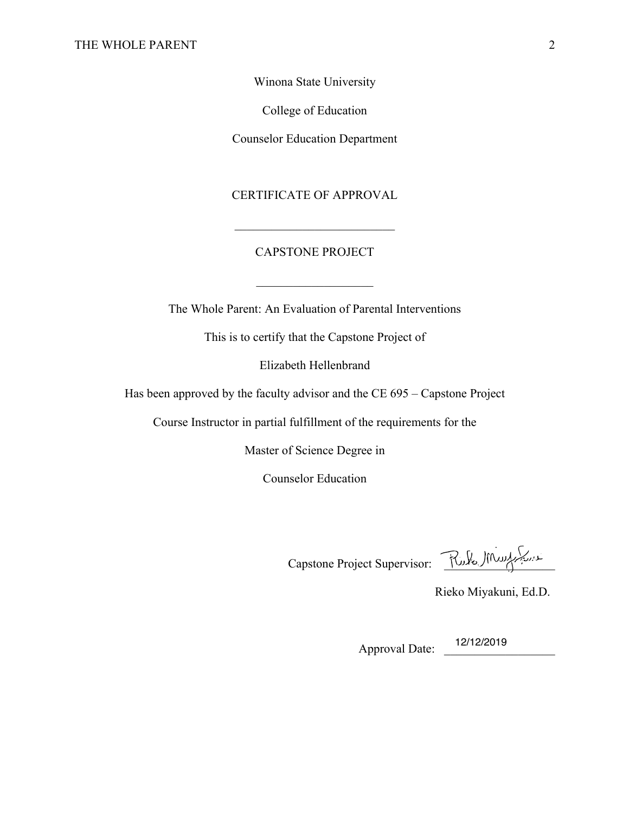Winona State University

College of Education

Counselor Education Department

CERTIFICATE OF APPROVAL

## CAPSTONE PROJECT

 $\frac{1}{2}$  ,  $\frac{1}{2}$  ,  $\frac{1}{2}$  ,  $\frac{1}{2}$  ,  $\frac{1}{2}$  ,  $\frac{1}{2}$  ,  $\frac{1}{2}$  ,  $\frac{1}{2}$  ,  $\frac{1}{2}$  ,  $\frac{1}{2}$ 

The Whole Parent: An Evaluation of Parental Interventions

This is to certify that the Capstone Project of

Elizabeth Hellenbrand

Has been approved by the faculty advisor and the CE 695 – Capstone Project

Course Instructor in partial fulfillment of the requirements for the

Master of Science Degree in

Counselor Education

Capstone Project Supervisor: Rules MW

Rieko Miyakuni, Ed.D.

Approval Date: \_\_\_\_\_\_\_\_\_\_\_\_\_\_\_\_\_\_ 12/12/2019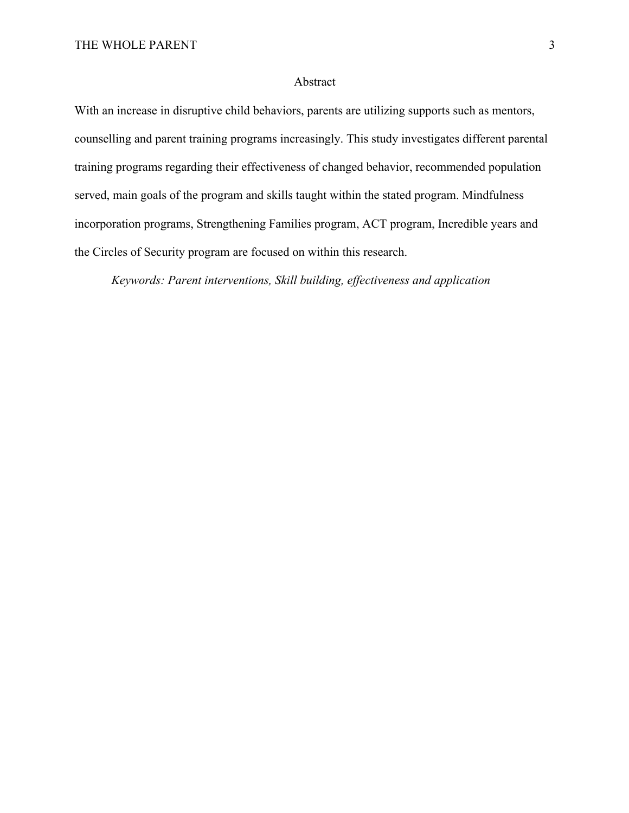## Abstract

With an increase in disruptive child behaviors, parents are utilizing supports such as mentors, counselling and parent training programs increasingly. This study investigates different parental training programs regarding their effectiveness of changed behavior, recommended population served, main goals of the program and skills taught within the stated program. Mindfulness incorporation programs, Strengthening Families program, ACT program, Incredible years and the Circles of Security program are focused on within this research.

*Keywords: Parent interventions, Skill building, effectiveness and application*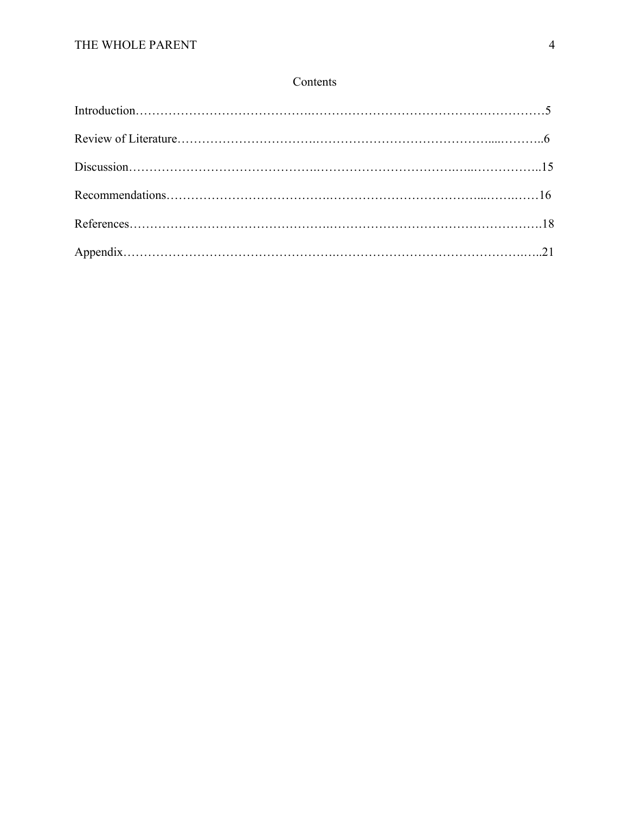## Contents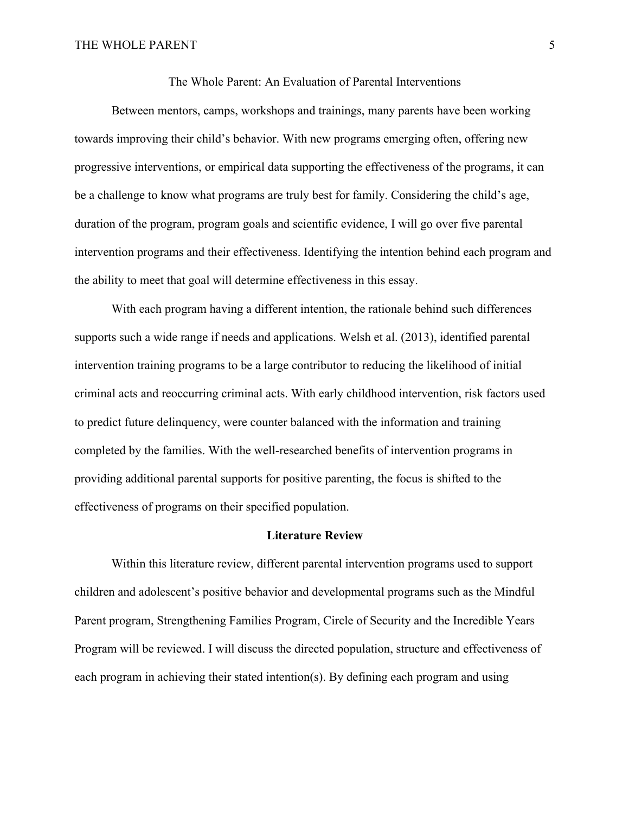The Whole Parent: An Evaluation of Parental Interventions

Between mentors, camps, workshops and trainings, many parents have been working towards improving their child's behavior. With new programs emerging often, offering new progressive interventions, or empirical data supporting the effectiveness of the programs, it can be a challenge to know what programs are truly best for family. Considering the child's age, duration of the program, program goals and scientific evidence, I will go over five parental intervention programs and their effectiveness. Identifying the intention behind each program and the ability to meet that goal will determine effectiveness in this essay.

With each program having a different intention, the rationale behind such differences supports such a wide range if needs and applications. Welsh et al. (2013), identified parental intervention training programs to be a large contributor to reducing the likelihood of initial criminal acts and reoccurring criminal acts. With early childhood intervention, risk factors used to predict future delinquency, were counter balanced with the information and training completed by the families. With the well-researched benefits of intervention programs in providing additional parental supports for positive parenting, the focus is shifted to the effectiveness of programs on their specified population.

#### **Literature Review**

Within this literature review, different parental intervention programs used to support children and adolescent's positive behavior and developmental programs such as the Mindful Parent program, Strengthening Families Program, Circle of Security and the Incredible Years Program will be reviewed. I will discuss the directed population, structure and effectiveness of each program in achieving their stated intention(s). By defining each program and using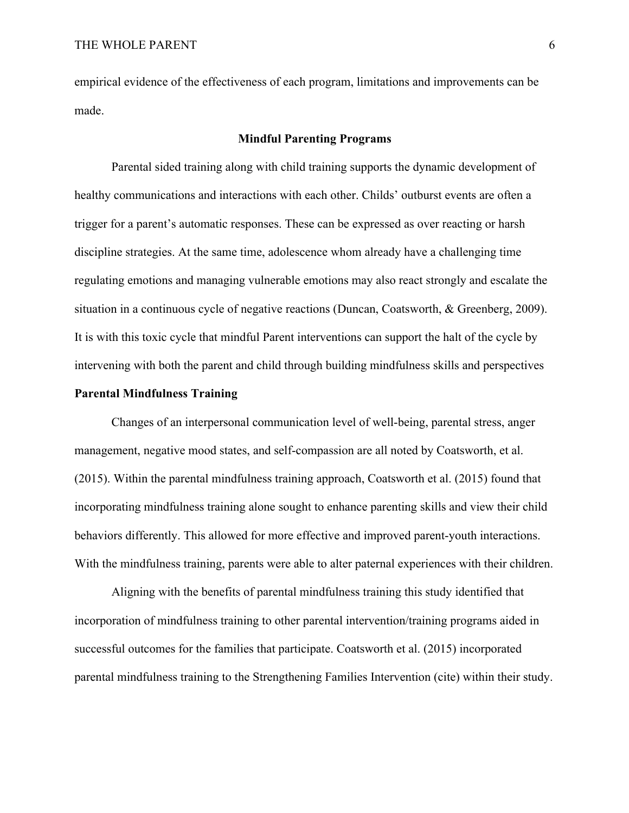empirical evidence of the effectiveness of each program, limitations and improvements can be made.

### **Mindful Parenting Programs**

Parental sided training along with child training supports the dynamic development of healthy communications and interactions with each other. Childs' outburst events are often a trigger for a parent's automatic responses. These can be expressed as over reacting or harsh discipline strategies. At the same time, adolescence whom already have a challenging time regulating emotions and managing vulnerable emotions may also react strongly and escalate the situation in a continuous cycle of negative reactions (Duncan, Coatsworth, & Greenberg, 2009). It is with this toxic cycle that mindful Parent interventions can support the halt of the cycle by intervening with both the parent and child through building mindfulness skills and perspectives

## **Parental Mindfulness Training**

Changes of an interpersonal communication level of well-being, parental stress, anger management, negative mood states, and self-compassion are all noted by Coatsworth, et al. (2015). Within the parental mindfulness training approach, Coatsworth et al. (2015) found that incorporating mindfulness training alone sought to enhance parenting skills and view their child behaviors differently. This allowed for more effective and improved parent-youth interactions. With the mindfulness training, parents were able to alter paternal experiences with their children.

Aligning with the benefits of parental mindfulness training this study identified that incorporation of mindfulness training to other parental intervention/training programs aided in successful outcomes for the families that participate. Coatsworth et al. (2015) incorporated parental mindfulness training to the Strengthening Families Intervention (cite) within their study.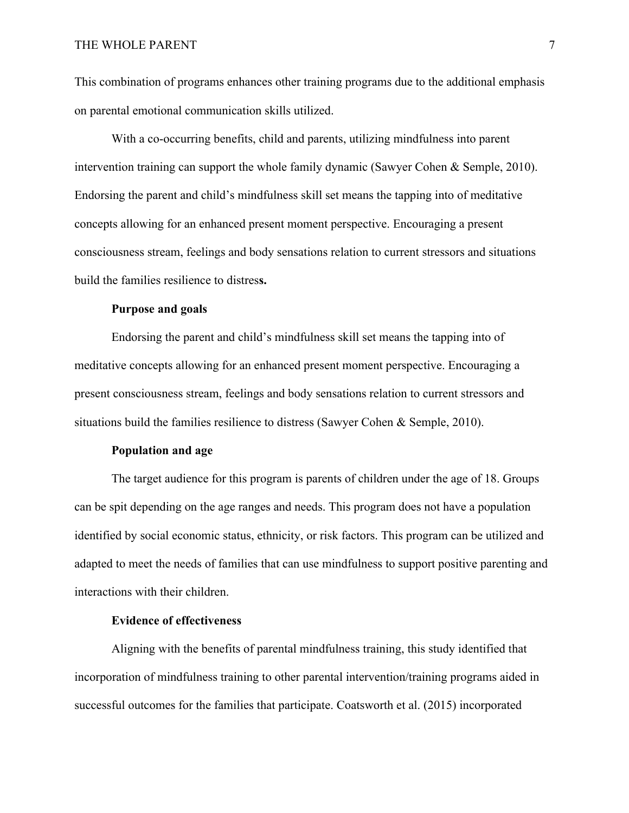This combination of programs enhances other training programs due to the additional emphasis on parental emotional communication skills utilized.

With a co-occurring benefits, child and parents, utilizing mindfulness into parent intervention training can support the whole family dynamic (Sawyer Cohen & Semple, 2010). Endorsing the parent and child's mindfulness skill set means the tapping into of meditative concepts allowing for an enhanced present moment perspective. Encouraging a present consciousness stream, feelings and body sensations relation to current stressors and situations build the families resilience to distres**s.**

#### **Purpose and goals**

Endorsing the parent and child's mindfulness skill set means the tapping into of meditative concepts allowing for an enhanced present moment perspective. Encouraging a present consciousness stream, feelings and body sensations relation to current stressors and situations build the families resilience to distress (Sawyer Cohen & Semple, 2010).

#### **Population and age**

The target audience for this program is parents of children under the age of 18. Groups can be spit depending on the age ranges and needs. This program does not have a population identified by social economic status, ethnicity, or risk factors. This program can be utilized and adapted to meet the needs of families that can use mindfulness to support positive parenting and interactions with their children.

## **Evidence of effectiveness**

Aligning with the benefits of parental mindfulness training, this study identified that incorporation of mindfulness training to other parental intervention/training programs aided in successful outcomes for the families that participate. Coatsworth et al. (2015) incorporated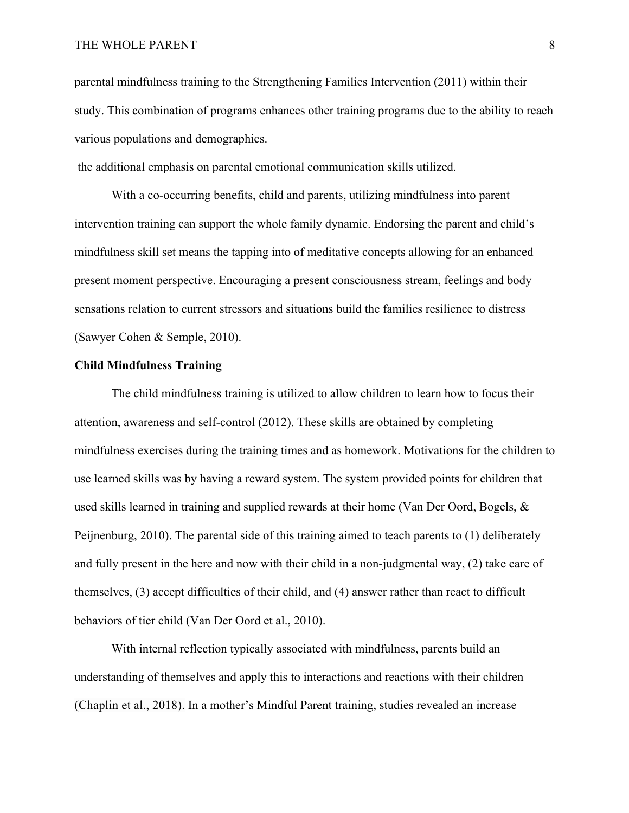## THE WHOLE PARENT 8

parental mindfulness training to the Strengthening Families Intervention (2011) within their study. This combination of programs enhances other training programs due to the ability to reach various populations and demographics.

the additional emphasis on parental emotional communication skills utilized.

With a co-occurring benefits, child and parents, utilizing mindfulness into parent intervention training can support the whole family dynamic. Endorsing the parent and child's mindfulness skill set means the tapping into of meditative concepts allowing for an enhanced present moment perspective. Encouraging a present consciousness stream, feelings and body sensations relation to current stressors and situations build the families resilience to distress (Sawyer Cohen & Semple, 2010).

#### **Child Mindfulness Training**

The child mindfulness training is utilized to allow children to learn how to focus their attention, awareness and self-control (2012). These skills are obtained by completing mindfulness exercises during the training times and as homework. Motivations for the children to use learned skills was by having a reward system. The system provided points for children that used skills learned in training and supplied rewards at their home (Van Der Oord, Bogels, & Peijnenburg, 2010). The parental side of this training aimed to teach parents to (1) deliberately and fully present in the here and now with their child in a non-judgmental way, (2) take care of themselves, (3) accept difficulties of their child, and (4) answer rather than react to difficult behaviors of tier child (Van Der Oord et al., 2010).

With internal reflection typically associated with mindfulness, parents build an understanding of themselves and apply this to interactions and reactions with their children (Chaplin et al., 2018). In a mother's Mindful Parent training, studies revealed an increase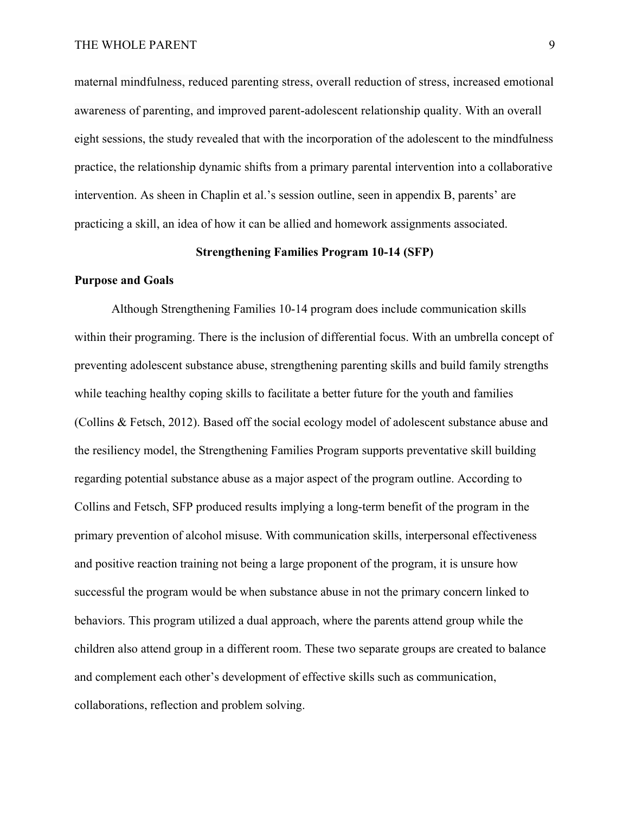maternal mindfulness, reduced parenting stress, overall reduction of stress, increased emotional awareness of parenting, and improved parent-adolescent relationship quality. With an overall eight sessions, the study revealed that with the incorporation of the adolescent to the mindfulness practice, the relationship dynamic shifts from a primary parental intervention into a collaborative intervention. As sheen in Chaplin et al.'s session outline, seen in appendix B, parents' are practicing a skill, an idea of how it can be allied and homework assignments associated.

#### **Strengthening Families Program 10-14 (SFP)**

#### **Purpose and Goals**

Although Strengthening Families 10-14 program does include communication skills within their programing. There is the inclusion of differential focus. With an umbrella concept of preventing adolescent substance abuse, strengthening parenting skills and build family strengths while teaching healthy coping skills to facilitate a better future for the youth and families (Collins & Fetsch, 2012). Based off the social ecology model of adolescent substance abuse and the resiliency model, the Strengthening Families Program supports preventative skill building regarding potential substance abuse as a major aspect of the program outline. According to Collins and Fetsch, SFP produced results implying a long-term benefit of the program in the primary prevention of alcohol misuse. With communication skills, interpersonal effectiveness and positive reaction training not being a large proponent of the program, it is unsure how successful the program would be when substance abuse in not the primary concern linked to behaviors. This program utilized a dual approach, where the parents attend group while the children also attend group in a different room. These two separate groups are created to balance and complement each other's development of effective skills such as communication, collaborations, reflection and problem solving.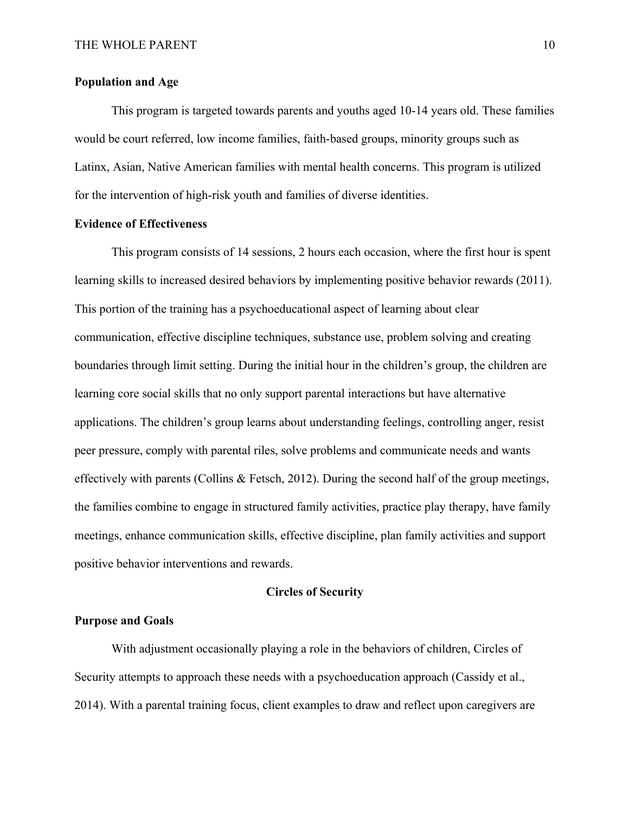## **Population and Age**

This program is targeted towards parents and youths aged 10-14 years old. These families would be court referred, low income families, faith-based groups, minority groups such as Latinx, Asian, Native American families with mental health concerns. This program is utilized for the intervention of high-risk youth and families of diverse identities.

### **Evidence of Effectiveness**

This program consists of 14 sessions, 2 hours each occasion, where the first hour is spent learning skills to increased desired behaviors by implementing positive behavior rewards (2011). This portion of the training has a psychoeducational aspect of learning about clear communication, effective discipline techniques, substance use, problem solving and creating boundaries through limit setting. During the initial hour in the children's group, the children are learning core social skills that no only support parental interactions but have alternative applications. The children's group learns about understanding feelings, controlling anger, resist peer pressure, comply with parental riles, solve problems and communicate needs and wants effectively with parents (Collins & Fetsch, 2012). During the second half of the group meetings, the families combine to engage in structured family activities, practice play therapy, have family meetings, enhance communication skills, effective discipline, plan family activities and support positive behavior interventions and rewards.

## **Circles of Security**

## **Purpose and Goals**

With adjustment occasionally playing a role in the behaviors of children, Circles of Security attempts to approach these needs with a psychoeducation approach (Cassidy et al., 2014). With a parental training focus, client examples to draw and reflect upon caregivers are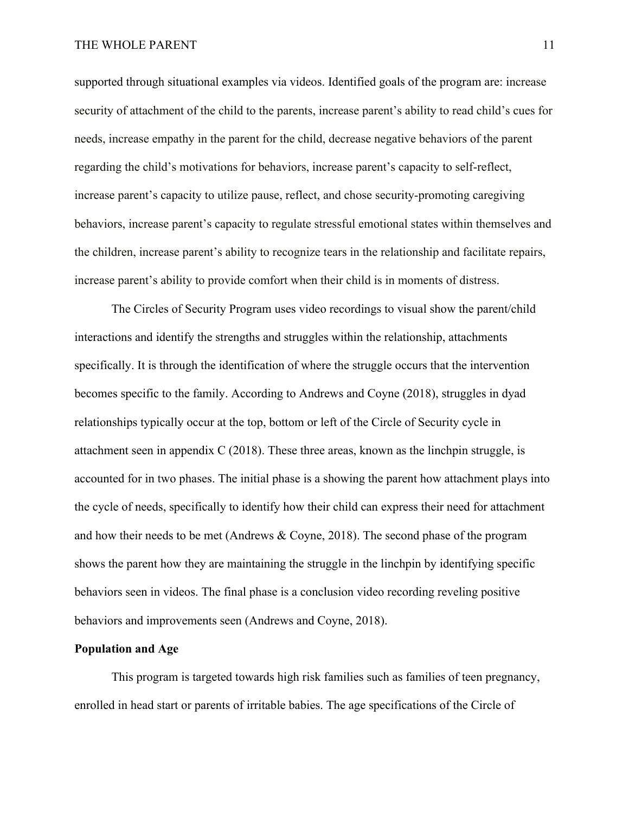supported through situational examples via videos. Identified goals of the program are: increase security of attachment of the child to the parents, increase parent's ability to read child's cues for needs, increase empathy in the parent for the child, decrease negative behaviors of the parent regarding the child's motivations for behaviors, increase parent's capacity to self-reflect, increase parent's capacity to utilize pause, reflect, and chose security-promoting caregiving behaviors, increase parent's capacity to regulate stressful emotional states within themselves and the children, increase parent's ability to recognize tears in the relationship and facilitate repairs, increase parent's ability to provide comfort when their child is in moments of distress.

The Circles of Security Program uses video recordings to visual show the parent/child interactions and identify the strengths and struggles within the relationship, attachments specifically. It is through the identification of where the struggle occurs that the intervention becomes specific to the family. According to Andrews and Coyne (2018), struggles in dyad relationships typically occur at the top, bottom or left of the Circle of Security cycle in attachment seen in appendix C (2018). These three areas, known as the linchpin struggle, is accounted for in two phases. The initial phase is a showing the parent how attachment plays into the cycle of needs, specifically to identify how their child can express their need for attachment and how their needs to be met (Andrews & Coyne, 2018). The second phase of the program shows the parent how they are maintaining the struggle in the linchpin by identifying specific behaviors seen in videos. The final phase is a conclusion video recording reveling positive behaviors and improvements seen (Andrews and Coyne, 2018).

## **Population and Age**

This program is targeted towards high risk families such as families of teen pregnancy, enrolled in head start or parents of irritable babies. The age specifications of the Circle of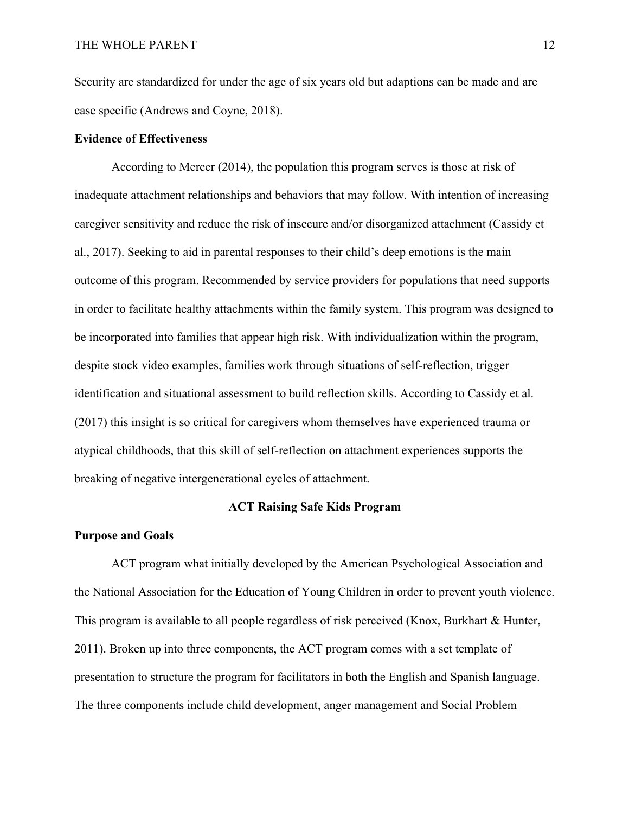Security are standardized for under the age of six years old but adaptions can be made and are case specific (Andrews and Coyne, 2018).

## **Evidence of Effectiveness**

According to Mercer (2014), the population this program serves is those at risk of inadequate attachment relationships and behaviors that may follow. With intention of increasing caregiver sensitivity and reduce the risk of insecure and/or disorganized attachment (Cassidy et al., 2017). Seeking to aid in parental responses to their child's deep emotions is the main outcome of this program. Recommended by service providers for populations that need supports in order to facilitate healthy attachments within the family system. This program was designed to be incorporated into families that appear high risk. With individualization within the program, despite stock video examples, families work through situations of self-reflection, trigger identification and situational assessment to build reflection skills. According to Cassidy et al. (2017) this insight is so critical for caregivers whom themselves have experienced trauma or atypical childhoods, that this skill of self-reflection on attachment experiences supports the breaking of negative intergenerational cycles of attachment.

## **ACT Raising Safe Kids Program**

#### **Purpose and Goals**

ACT program what initially developed by the American Psychological Association and the National Association for the Education of Young Children in order to prevent youth violence. This program is available to all people regardless of risk perceived (Knox, Burkhart & Hunter, 2011). Broken up into three components, the ACT program comes with a set template of presentation to structure the program for facilitators in both the English and Spanish language. The three components include child development, anger management and Social Problem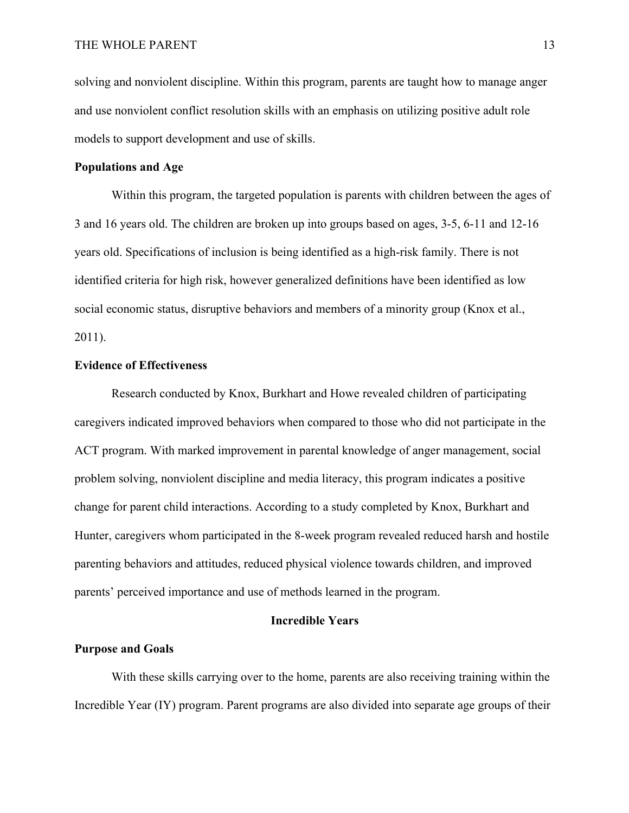solving and nonviolent discipline. Within this program, parents are taught how to manage anger and use nonviolent conflict resolution skills with an emphasis on utilizing positive adult role models to support development and use of skills.

## **Populations and Age**

Within this program, the targeted population is parents with children between the ages of 3 and 16 years old. The children are broken up into groups based on ages, 3-5, 6-11 and 12-16 years old. Specifications of inclusion is being identified as a high-risk family. There is not identified criteria for high risk, however generalized definitions have been identified as low social economic status, disruptive behaviors and members of a minority group (Knox et al., 2011).

## **Evidence of Effectiveness**

Research conducted by Knox, Burkhart and Howe revealed children of participating caregivers indicated improved behaviors when compared to those who did not participate in the ACT program. With marked improvement in parental knowledge of anger management, social problem solving, nonviolent discipline and media literacy, this program indicates a positive change for parent child interactions. According to a study completed by Knox, Burkhart and Hunter, caregivers whom participated in the 8-week program revealed reduced harsh and hostile parenting behaviors and attitudes, reduced physical violence towards children, and improved parents' perceived importance and use of methods learned in the program.

## **Incredible Years**

## **Purpose and Goals**

With these skills carrying over to the home, parents are also receiving training within the Incredible Year (IY) program. Parent programs are also divided into separate age groups of their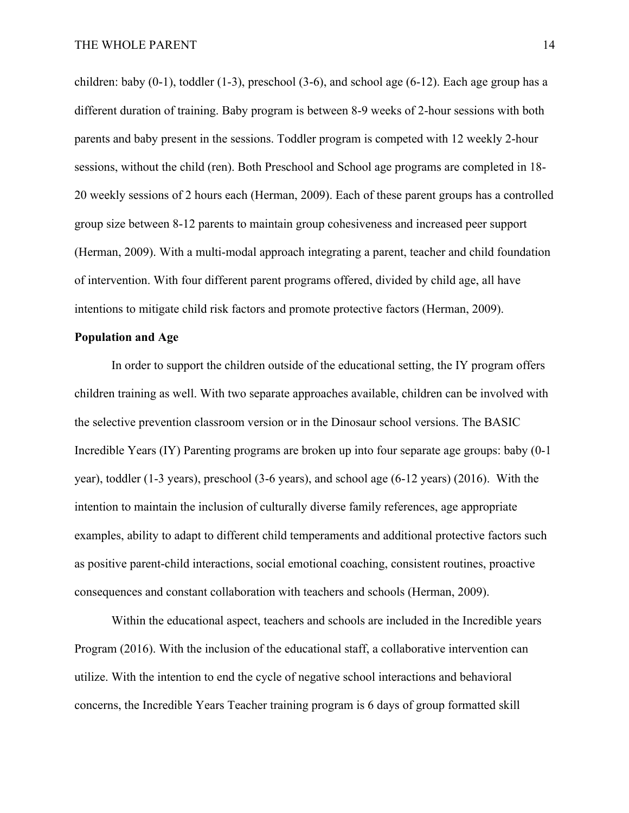children: baby  $(0-1)$ , toddler  $(1-3)$ , preschool  $(3-6)$ , and school age  $(6-12)$ . Each age group has a different duration of training. Baby program is between 8-9 weeks of 2-hour sessions with both parents and baby present in the sessions. Toddler program is competed with 12 weekly 2-hour sessions, without the child (ren). Both Preschool and School age programs are completed in 18- 20 weekly sessions of 2 hours each (Herman, 2009). Each of these parent groups has a controlled group size between 8-12 parents to maintain group cohesiveness and increased peer support (Herman, 2009). With a multi-modal approach integrating a parent, teacher and child foundation of intervention. With four different parent programs offered, divided by child age, all have intentions to mitigate child risk factors and promote protective factors (Herman, 2009).

#### **Population and Age**

In order to support the children outside of the educational setting, the IY program offers children training as well. With two separate approaches available, children can be involved with the selective prevention classroom version or in the Dinosaur school versions. The BASIC Incredible Years (IY) Parenting programs are broken up into four separate age groups: baby (0-1 year), toddler (1-3 years), preschool (3-6 years), and school age (6-12 years) (2016). With the intention to maintain the inclusion of culturally diverse family references, age appropriate examples, ability to adapt to different child temperaments and additional protective factors such as positive parent-child interactions, social emotional coaching, consistent routines, proactive consequences and constant collaboration with teachers and schools (Herman, 2009).

Within the educational aspect, teachers and schools are included in the Incredible years Program (2016). With the inclusion of the educational staff, a collaborative intervention can utilize. With the intention to end the cycle of negative school interactions and behavioral concerns, the Incredible Years Teacher training program is 6 days of group formatted skill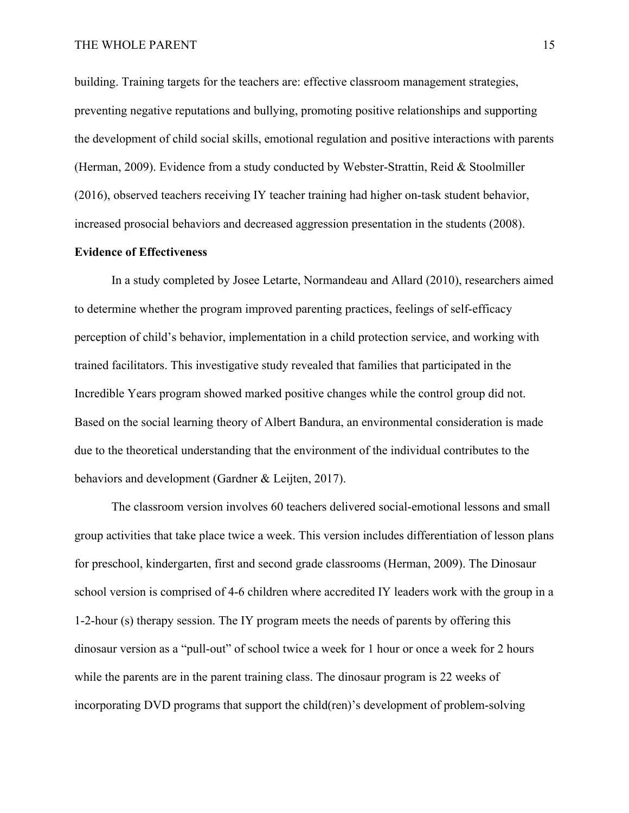building. Training targets for the teachers are: effective classroom management strategies, preventing negative reputations and bullying, promoting positive relationships and supporting the development of child social skills, emotional regulation and positive interactions with parents (Herman, 2009). Evidence from a study conducted by Webster-Strattin, Reid & Stoolmiller (2016), observed teachers receiving IY teacher training had higher on-task student behavior, increased prosocial behaviors and decreased aggression presentation in the students (2008).

#### **Evidence of Effectiveness**

In a study completed by Josee Letarte, Normandeau and Allard (2010), researchers aimed to determine whether the program improved parenting practices, feelings of self-efficacy perception of child's behavior, implementation in a child protection service, and working with trained facilitators. This investigative study revealed that families that participated in the Incredible Years program showed marked positive changes while the control group did not. Based on the social learning theory of Albert Bandura, an environmental consideration is made due to the theoretical understanding that the environment of the individual contributes to the behaviors and development (Gardner & Leijten, 2017).

The classroom version involves 60 teachers delivered social-emotional lessons and small group activities that take place twice a week. This version includes differentiation of lesson plans for preschool, kindergarten, first and second grade classrooms (Herman, 2009). The Dinosaur school version is comprised of 4-6 children where accredited IY leaders work with the group in a 1-2-hour (s) therapy session. The IY program meets the needs of parents by offering this dinosaur version as a "pull-out" of school twice a week for 1 hour or once a week for 2 hours while the parents are in the parent training class. The dinosaur program is 22 weeks of incorporating DVD programs that support the child(ren)'s development of problem-solving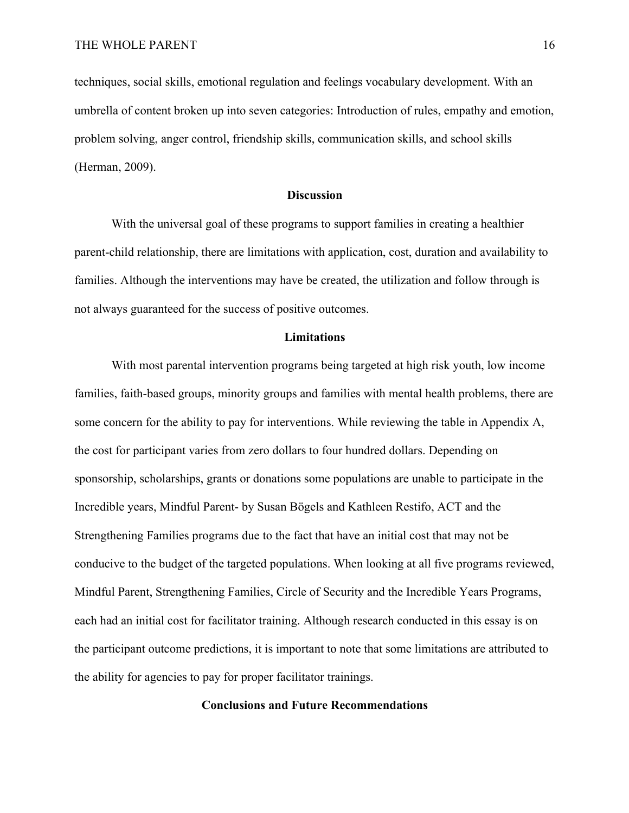techniques, social skills, emotional regulation and feelings vocabulary development. With an umbrella of content broken up into seven categories: Introduction of rules, empathy and emotion, problem solving, anger control, friendship skills, communication skills, and school skills (Herman, 2009).

#### **Discussion**

With the universal goal of these programs to support families in creating a healthier parent-child relationship, there are limitations with application, cost, duration and availability to families. Although the interventions may have be created, the utilization and follow through is not always guaranteed for the success of positive outcomes.

### **Limitations**

With most parental intervention programs being targeted at high risk youth, low income families, faith-based groups, minority groups and families with mental health problems, there are some concern for the ability to pay for interventions. While reviewing the table in Appendix A, the cost for participant varies from zero dollars to four hundred dollars. Depending on sponsorship, scholarships, grants or donations some populations are unable to participate in the Incredible years, Mindful Parent- by Susan Bögels and Kathleen Restifo, ACT and the Strengthening Families programs due to the fact that have an initial cost that may not be conducive to the budget of the targeted populations. When looking at all five programs reviewed, Mindful Parent, Strengthening Families, Circle of Security and the Incredible Years Programs, each had an initial cost for facilitator training. Although research conducted in this essay is on the participant outcome predictions, it is important to note that some limitations are attributed to the ability for agencies to pay for proper facilitator trainings.

### **Conclusions and Future Recommendations**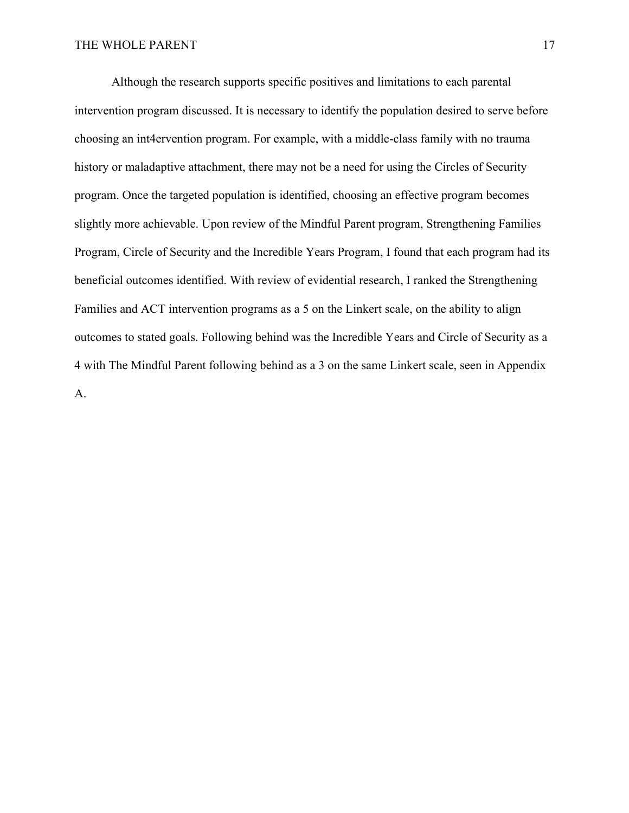Although the research supports specific positives and limitations to each parental intervention program discussed. It is necessary to identify the population desired to serve before choosing an int4ervention program. For example, with a middle-class family with no trauma history or maladaptive attachment, there may not be a need for using the Circles of Security program. Once the targeted population is identified, choosing an effective program becomes slightly more achievable. Upon review of the Mindful Parent program, Strengthening Families Program, Circle of Security and the Incredible Years Program, I found that each program had its beneficial outcomes identified. With review of evidential research, I ranked the Strengthening Families and ACT intervention programs as a 5 on the Linkert scale, on the ability to align outcomes to stated goals. Following behind was the Incredible Years and Circle of Security as a 4 with The Mindful Parent following behind as a 3 on the same Linkert scale, seen in Appendix A.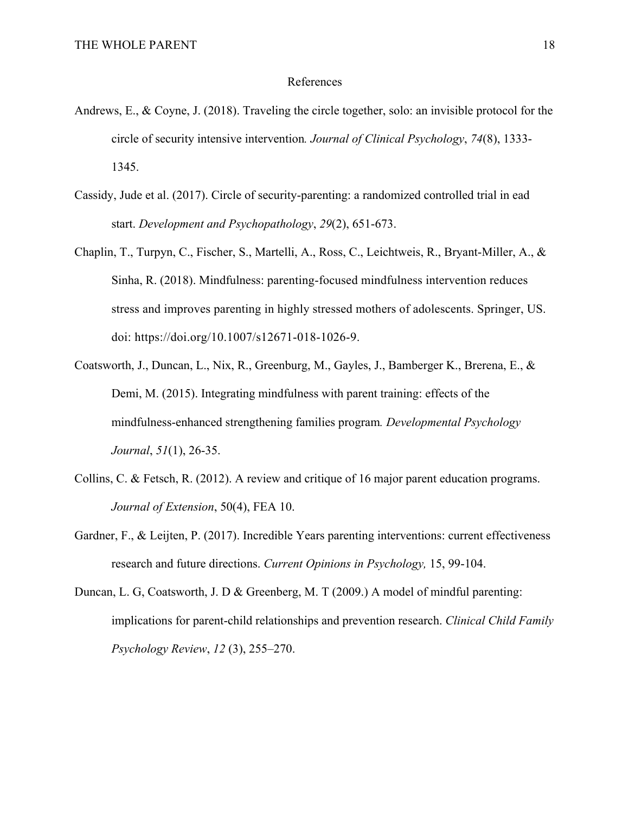#### References

- Andrews, E., & Coyne, J. (2018). Traveling the circle together, solo: an invisible protocol for the circle of security intensive intervention*. Journal of Clinical Psychology*, *74*(8), 1333- 1345.
- Cassidy, Jude et al. (2017). Circle of security-parenting: a randomized controlled trial in ead start. *Development and Psychopathology*, *29*(2), 651-673.
- Chaplin, T., Turpyn, C., Fischer, S., Martelli, A., Ross, C., Leichtweis, R., Bryant-Miller, A., & Sinha, R. (2018). Mindfulness: parenting-focused mindfulness intervention reduces stress and improves parenting in highly stressed mothers of adolescents. Springer, US. doi: https://doi.org/10.1007/s12671-018-1026-9.
- Coatsworth, J., Duncan, L., Nix, R., Greenburg, M., Gayles, J., Bamberger K., Brerena, E., & Demi, M. (2015). Integrating mindfulness with parent training: effects of the mindfulness-enhanced strengthening families program*. Developmental Psychology Journal*, *51*(1), 26-35.
- Collins, C. & Fetsch, R. (2012). A review and critique of 16 major parent education programs. *Journal of Extension*, 50(4), FEA 10.
- Gardner, F., & Leijten, P. (2017). Incredible Years parenting interventions: current effectiveness research and future directions. *Current Opinions in Psychology,* 15, 99-104.
- Duncan, L. G, Coatsworth, J. D & Greenberg, M. T (2009.) A model of mindful parenting: implications for parent-child relationships and prevention research. *Clinical Child Family Psychology Review*, *12* (3), 255–270.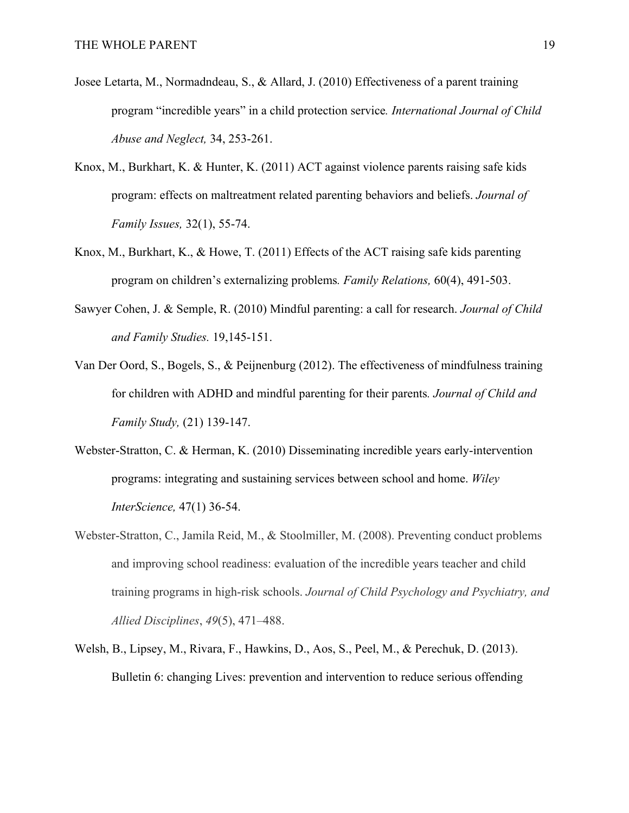- Josee Letarta, M., Normadndeau, S., & Allard, J. (2010) Effectiveness of a parent training program "incredible years" in a child protection service*. International Journal of Child Abuse and Neglect,* 34, 253-261.
- Knox, M., Burkhart, K. & Hunter, K. (2011) ACT against violence parents raising safe kids program: effects on maltreatment related parenting behaviors and beliefs. *Journal of Family Issues,* 32(1), 55-74.
- Knox, M., Burkhart, K., & Howe, T. (2011) Effects of the ACT raising safe kids parenting program on children's externalizing problems*. Family Relations,* 60(4), 491-503.
- Sawyer Cohen, J. & Semple, R. (2010) Mindful parenting: a call for research. *Journal of Child and Family Studies.* 19,145-151.
- Van Der Oord, S., Bogels, S., & Peijnenburg (2012). The effectiveness of mindfulness training for children with ADHD and mindful parenting for their parents*. Journal of Child and Family Study,* (21) 139-147.
- Webster-Stratton, C. & Herman, K. (2010) Disseminating incredible years early-intervention programs: integrating and sustaining services between school and home. *Wiley InterScience,* 47(1) 36-54.
- Webster-Stratton, C., Jamila Reid, M., & Stoolmiller, M. (2008). Preventing conduct problems and improving school readiness: evaluation of the incredible years teacher and child training programs in high-risk schools. *Journal of Child Psychology and Psychiatry, and Allied Disciplines*, *49*(5), 471–488.
- Welsh, B., Lipsey, M., Rivara, F., Hawkins, D., Aos, S., Peel, M., & Perechuk, D. (2013). Bulletin 6: changing Lives: prevention and intervention to reduce serious offending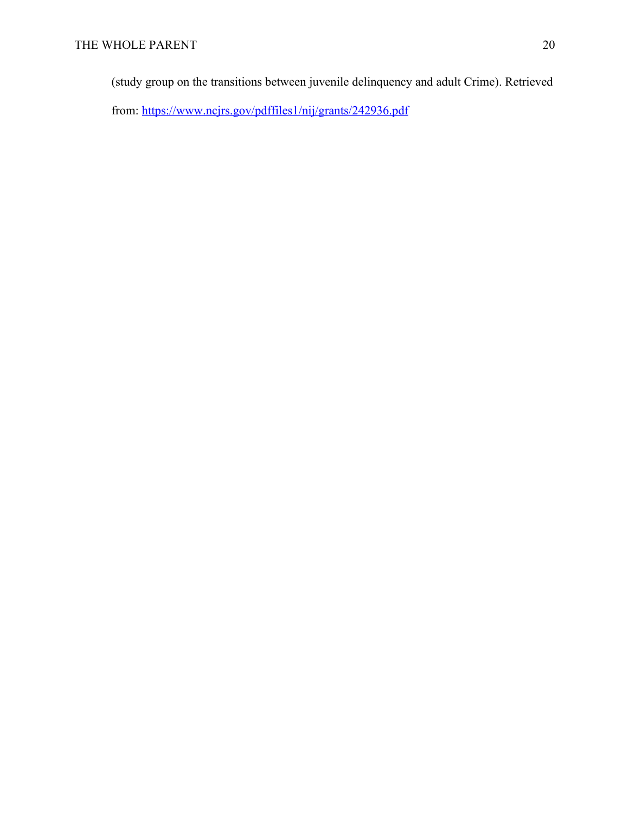(study group on the transitions between juvenile delinquency and adult Crime). Retrieved from: https://www.ncjrs.gov/pdffiles1/nij/grants/242936.pdf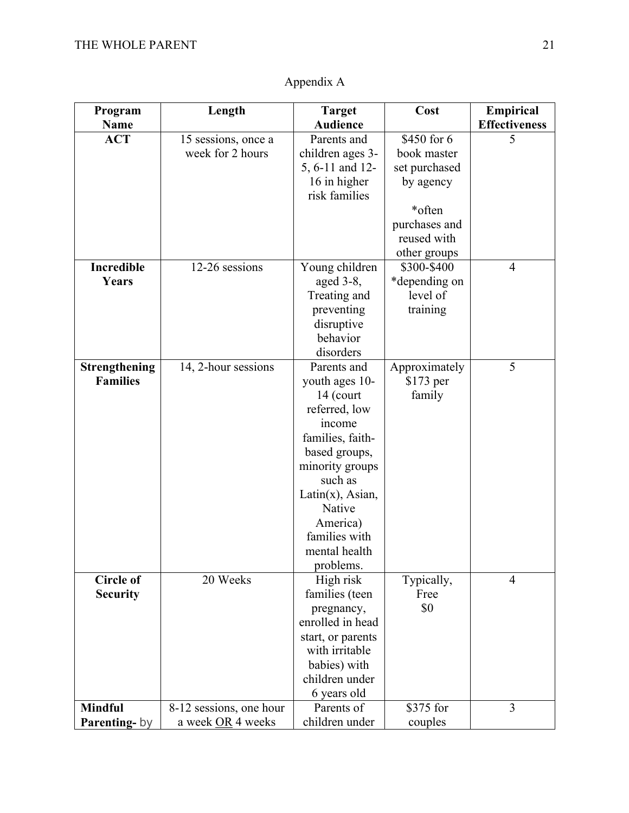| Program              | Length                  | <b>Target</b>             | Cost          | Empirical            |
|----------------------|-------------------------|---------------------------|---------------|----------------------|
| <b>Name</b>          |                         | <b>Audience</b>           |               | <b>Effectiveness</b> |
| <b>ACT</b>           | 15 sessions, once a     | Parents and               | \$450 for 6   | 5                    |
|                      | week for 2 hours        | children ages 3-          | book master   |                      |
|                      |                         | 5, 6-11 and 12-           | set purchased |                      |
|                      |                         | 16 in higher              | by agency     |                      |
|                      |                         | risk families             |               |                      |
|                      |                         |                           | *often        |                      |
|                      |                         |                           | purchases and |                      |
|                      |                         |                           | reused with   |                      |
|                      |                         |                           | other groups  |                      |
| <b>Incredible</b>    | 12-26 sessions          | Young children            | \$300-\$400   | 4                    |
| Years                |                         | aged $3-8$ ,              | *depending on |                      |
|                      |                         | Treating and              | level of      |                      |
|                      |                         | preventing                | training      |                      |
|                      |                         | disruptive                |               |                      |
|                      |                         | behavior                  |               |                      |
|                      |                         | disorders                 |               |                      |
| <b>Strengthening</b> | 14, 2-hour sessions     | Parents and               | Approximately | 5                    |
| <b>Families</b>      |                         | youth ages 10-            | $$173$ per    |                      |
|                      |                         | 14 (court                 | family        |                      |
|                      |                         | referred, low             |               |                      |
|                      |                         | income                    |               |                      |
|                      |                         | families, faith-          |               |                      |
|                      |                         | based groups,             |               |                      |
|                      |                         | minority groups           |               |                      |
|                      |                         | such as                   |               |                      |
|                      |                         | $Latin(x)$ , Asian,       |               |                      |
|                      |                         | Native                    |               |                      |
|                      |                         | America)<br>families with |               |                      |
|                      |                         | mental health             |               |                      |
|                      |                         | problems.                 |               |                      |
| <b>Circle of</b>     | 20 Weeks                | High risk                 | Typically,    | $\overline{4}$       |
| <b>Security</b>      |                         | families (teen            | Free          |                      |
|                      |                         | pregnancy,                | \$0           |                      |
|                      |                         | enrolled in head          |               |                      |
|                      |                         | start, or parents         |               |                      |
|                      |                         | with irritable            |               |                      |
|                      |                         | babies) with              |               |                      |
|                      |                         | children under            |               |                      |
|                      |                         | 6 years old               |               |                      |
| <b>Mindful</b>       | 8-12 sessions, one hour | Parents of                | \$375 for     | 3                    |
| Parenting-by         | a week OR 4 weeks       | children under            | couples       |                      |

# Appendix A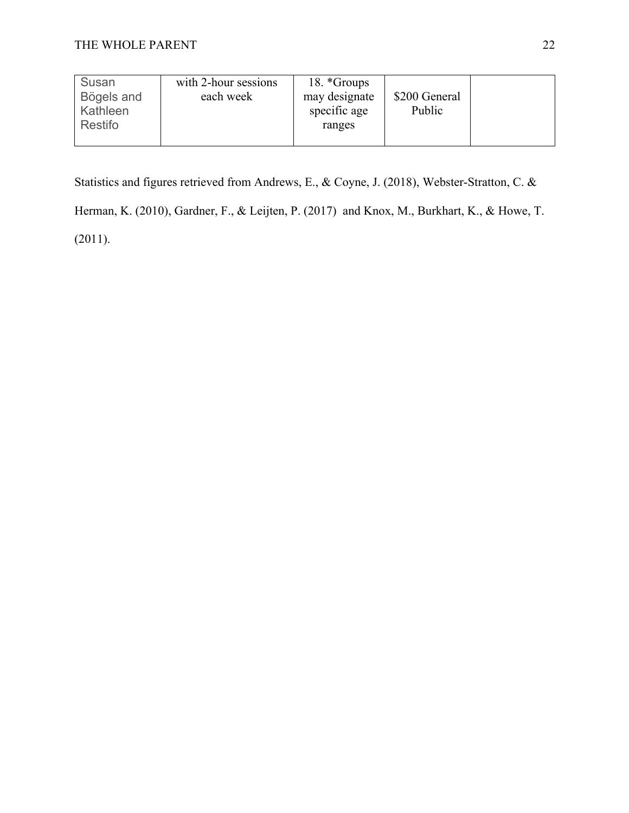| Susan<br>Bögels and<br>Kathleen | with 2-hour sessions<br>each week | 18. *Groups<br>may designate<br>specific age | \$200 General<br>Public |  |
|---------------------------------|-----------------------------------|----------------------------------------------|-------------------------|--|
| Restifo                         |                                   | ranges                                       |                         |  |

Statistics and figures retrieved from Andrews, E., & Coyne, J. (2018), Webster-Stratton, C. &

Herman, K. (2010), Gardner, F., & Leijten, P. (2017) and Knox, M., Burkhart, K., & Howe, T. (2011).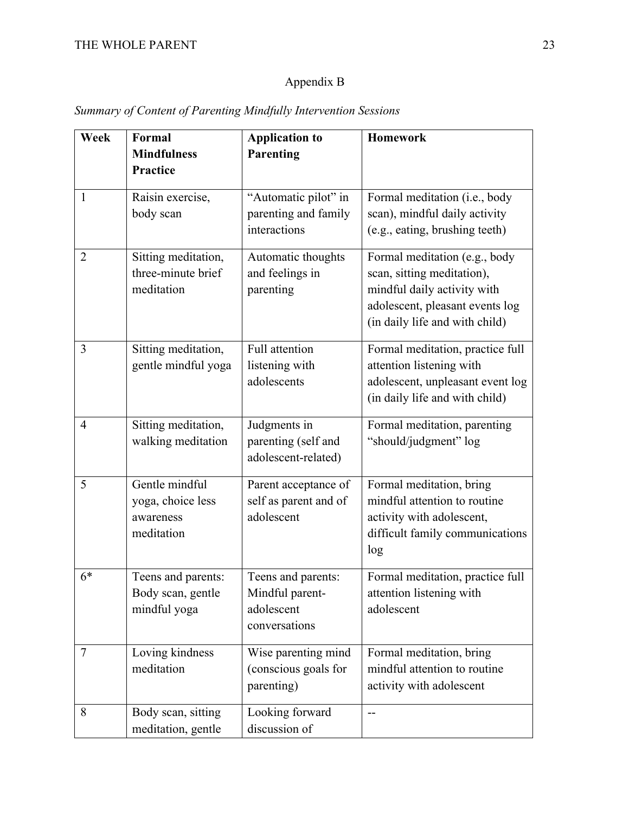# Appendix B

| Week           | Formal<br><b>Mindfulness</b><br><b>Practice</b>                | <b>Application to</b><br>Parenting                                   | <b>Homework</b>                                                                                                                                                 |
|----------------|----------------------------------------------------------------|----------------------------------------------------------------------|-----------------------------------------------------------------------------------------------------------------------------------------------------------------|
| $\mathbf{1}$   | Raisin exercise,<br>body scan                                  | "Automatic pilot" in<br>parenting and family<br>interactions         | Formal meditation (i.e., body<br>scan), mindful daily activity<br>(e.g., eating, brushing teeth)                                                                |
| $\overline{2}$ | Sitting meditation,<br>three-minute brief<br>meditation        | Automatic thoughts<br>and feelings in<br>parenting                   | Formal meditation (e.g., body<br>scan, sitting meditation),<br>mindful daily activity with<br>adolescent, pleasant events log<br>(in daily life and with child) |
| 3              | Sitting meditation,<br>gentle mindful yoga                     | Full attention<br>listening with<br>adolescents                      | Formal meditation, practice full<br>attention listening with<br>adolescent, unpleasant event log<br>(in daily life and with child)                              |
| $\overline{4}$ | Sitting meditation,<br>walking meditation                      | Judgments in<br>parenting (self and<br>adolescent-related)           | Formal meditation, parenting<br>"should/judgment" log                                                                                                           |
| 5              | Gentle mindful<br>yoga, choice less<br>awareness<br>meditation | Parent acceptance of<br>self as parent and of<br>adolescent          | Formal meditation, bring<br>mindful attention to routine<br>activity with adolescent,<br>difficult family communications<br>log                                 |
| $6*$           | Teens and parents:<br>Body scan, gentle<br>mindful yoga        | Teens and parents:<br>Mindful parent-<br>adolescent<br>conversations | Formal meditation, practice full<br>attention listening with<br>adolescent                                                                                      |
| $\overline{7}$ | Loving kindness<br>meditation                                  | Wise parenting mind<br>(conscious goals for<br>parenting)            | Formal meditation, bring<br>mindful attention to routine<br>activity with adolescent                                                                            |
| 8              | Body scan, sitting<br>meditation, gentle                       | Looking forward<br>discussion of                                     | $-$                                                                                                                                                             |

## *Summary of Content of Parenting Mindfully Intervention Sessions*